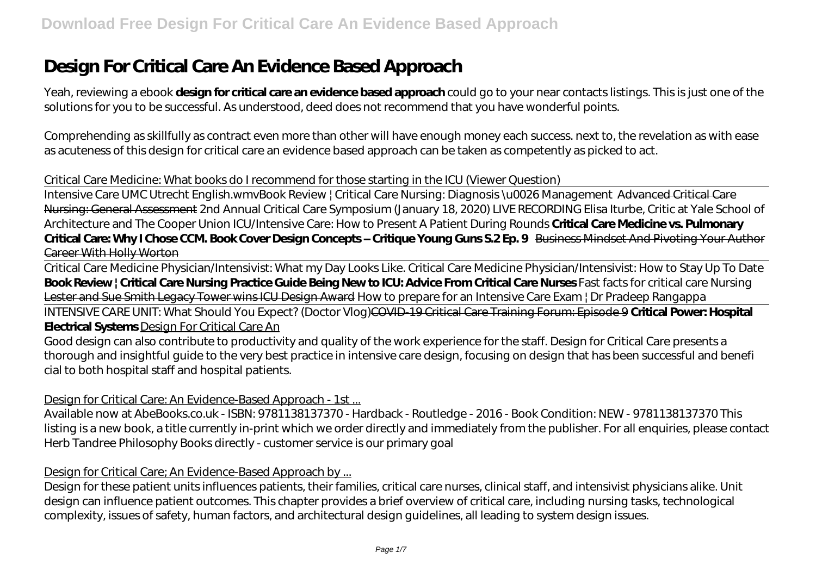# **Design For Critical Care An Evidence Based Approach**

Yeah, reviewing a ebook **design for critical care an evidence based approach** could go to your near contacts listings. This is just one of the solutions for you to be successful. As understood, deed does not recommend that you have wonderful points.

Comprehending as skillfully as contract even more than other will have enough money each success. next to, the revelation as with ease as acuteness of this design for critical care an evidence based approach can be taken as competently as picked to act.

#### Critical Care Medicine: What books do I recommend for those starting in the ICU (Viewer Question)

Intensive Care UMC Utrecht English.wmv*Book Review | Critical Care Nursing: Diagnosis \u0026 Management* Advanced Critical Care Nursing: General Assessment 2nd Annual Critical Care Symposium (January 18, 2020) LIVE RECORDING Elisa Iturbe, Critic at Yale School of Architecture and The Cooper Union ICU/Intensive Care: How to Present A Patient During Rounds **Critical Care Medicine vs. Pulmonary Critical Care: Why I Chose CCM. Book Cover Design Concepts – Critique Young Guns S.2 Ep. 9** Business Mindset And Pivoting Your Author Career With Holly Worton

Critical Care Medicine Physician/Intensivist: What my Day Looks Like. Critical Care Medicine Physician/Intensivist: How to Stay Up To Date **Book Review | Critical Care Nursing Practice Guide Being New to ICU: Advice From Critical Care Nurses** *Fast facts for critical care Nursing* Lester and Sue Smith Legacy Tower wins ICU Design Award How to prepare for an Intensive Care Exam | Dr Pradeep Rangappa

INTENSIVE CARE UNIT: What Should You Expect? (Doctor Vlog)COVID-19 Critical Care Training Forum: Episode 9 **Critical Power: Hospital Electrical Systems** Design For Critical Care An

Good design can also contribute to productivity and quality of the work experience for the staff. Design for Critical Care presents a thorough and insightful guide to the very best practice in intensive care design, focusing on design that has been successful and benefi cial to both hospital staff and hospital patients.

## Design for Critical Care: An Evidence-Based Approach - 1st ...

Available now at AbeBooks.co.uk - ISBN: 9781138137370 - Hardback - Routledge - 2016 - Book Condition: NEW - 9781138137370 This listing is a new book, a title currently in-print which we order directly and immediately from the publisher. For all enquiries, please contact Herb Tandree Philosophy Books directly - customer service is our primary goal

#### Design for Critical Care; An Evidence-Based Approach by ...

Design for these patient units influences patients, their families, critical care nurses, clinical staff, and intensivist physicians alike. Unit design can influence patient outcomes. This chapter provides a brief overview of critical care, including nursing tasks, technological complexity, issues of safety, human factors, and architectural design guidelines, all leading to system design issues.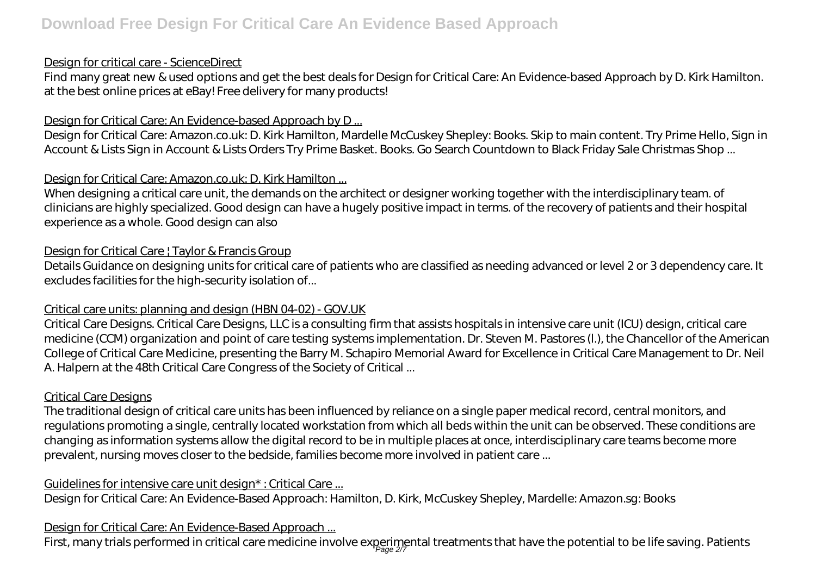### Design for critical care - ScienceDirect

Find many great new & used options and get the best deals for Design for Critical Care: An Evidence-based Approach by D. Kirk Hamilton. at the best online prices at eBay! Free delivery for many products!

## Design for Critical Care: An Evidence-based Approach by D ...

Design for Critical Care: Amazon.co.uk: D. Kirk Hamilton, Mardelle McCuskey Shepley: Books. Skip to main content. Try Prime Hello, Sign in Account & Lists Sign in Account & Lists Orders Try Prime Basket. Books. Go Search Countdown to Black Friday Sale Christmas Shop ...

## Design for Critical Care: Amazon.co.uk: D. Kirk Hamilton ...

When designing a critical care unit, the demands on the architect or designer working together with the interdisciplinary team. of clinicians are highly specialized. Good design can have a hugely positive impact in terms. of the recovery of patients and their hospital experience as a whole. Good design can also

## Design for Critical Care | Taylor & Francis Group

Details Guidance on designing units for critical care of patients who are classified as needing advanced or level 2 or 3 dependency care. It excludes facilities for the high-security isolation of...

## Critical care units: planning and design (HBN 04-02) - GOV.UK

Critical Care Designs. Critical Care Designs, LLC is a consulting firm that assists hospitals in intensive care unit (ICU) design, critical care medicine (CCM) organization and point of care testing systems implementation. Dr. Steven M. Pastores (l.), the Chancellor of the American College of Critical Care Medicine, presenting the Barry M. Schapiro Memorial Award for Excellence in Critical Care Management to Dr. Neil A. Halpern at the 48th Critical Care Congress of the Society of Critical ...

## Critical Care Designs

The traditional design of critical care units has been influenced by reliance on a single paper medical record, central monitors, and regulations promoting a single, centrally located workstation from which all beds within the unit can be observed. These conditions are changing as information systems allow the digital record to be in multiple places at once, interdisciplinary care teams become more prevalent, nursing moves closer to the bedside, families become more involved in patient care ...

## Guidelines for intensive care unit design\* : Critical Care ...

Design for Critical Care: An Evidence-Based Approach: Hamilton, D. Kirk, McCuskey Shepley, Mardelle: Amazon.sg: Books

## Design for Critical Care: An Evidence-Based Approach ...

First, many trials performed in critical care medicine involve experimental treatments that have the potential to be life saving. Patients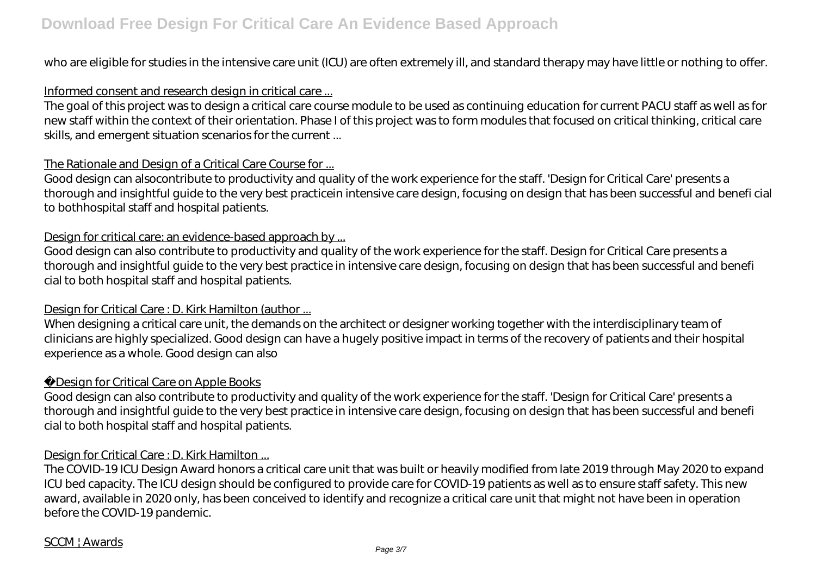who are eligible for studies in the intensive care unit (ICU) are often extremely ill, and standard therapy may have little or nothing to offer.

#### Informed consent and research design in critical care ...

The goal of this project was to design a critical care course module to be used as continuing education for current PACU staff as well as for new staff within the context of their orientation. Phase I of this project was to form modules that focused on critical thinking, critical care skills, and emergent situation scenarios for the current ...

### The Rationale and Design of a Critical Care Course for ...

Good design can alsocontribute to productivity and quality of the work experience for the staff. 'Design for Critical Care' presents a thorough and insightful guide to the very best practicein intensive care design, focusing on design that has been successful and benefi cial to bothhospital staff and hospital patients.

### Design for critical care: an evidence-based approach by ...

Good design can also contribute to productivity and quality of the work experience for the staff. Design for Critical Care presents a thorough and insightful guide to the very best practice in intensive care design, focusing on design that has been successful and benefi cial to both hospital staff and hospital patients.

## Design for Critical Care : D. Kirk Hamilton (author ...

When designing a critical care unit, the demands on the architect or designer working together with the interdisciplinary team of clinicians are highly specialized. Good design can have a hugely positive impact in terms of the recovery of patients and their hospital experience as a whole. Good design can also

## Design for Critical Care on Apple Books

Good design can also contribute to productivity and quality of the work experience for the staff. 'Design for Critical Care' presents a thorough and insightful guide to the very best practice in intensive care design, focusing on design that has been successful and benefi cial to both hospital staff and hospital patients.

#### Design for Critical Care : D. Kirk Hamilton ...

The COVID-19 ICU Design Award honors a critical care unit that was built or heavily modified from late 2019 through May 2020 to expand ICU bed capacity. The ICU design should be configured to provide care for COVID-19 patients as well as to ensure staff safety. This new award, available in 2020 only, has been conceived to identify and recognize a critical care unit that might not have been in operation before the COVID-19 pandemic.

## SCCM | Awards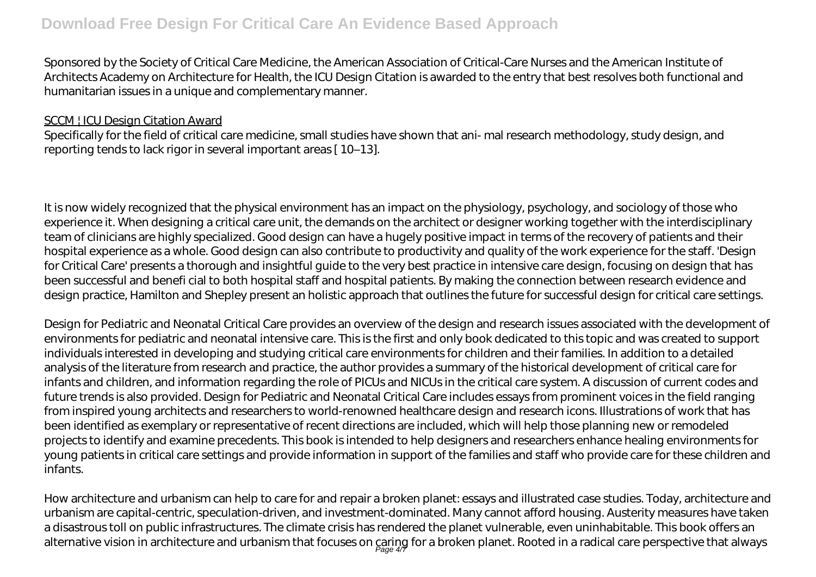## **Download Free Design For Critical Care An Evidence Based Approach**

Sponsored by the Society of Critical Care Medicine, the American Association of Critical-Care Nurses and the American Institute of Architects Academy on Architecture for Health, the ICU Design Citation is awarded to the entry that best resolves both functional and humanitarian issues in a unique and complementary manner.

#### SCCM | ICU Design Citation Award

Specifically for the field of critical care medicine, small studies have shown that ani- mal research methodology, study design, and reporting tends to lack rigor in several important areas [ 10–13].

It is now widely recognized that the physical environment has an impact on the physiology, psychology, and sociology of those who experience it. When designing a critical care unit, the demands on the architect or designer working together with the interdisciplinary team of clinicians are highly specialized. Good design can have a hugely positive impact in terms of the recovery of patients and their hospital experience as a whole. Good design can also contribute to productivity and quality of the work experience for the staff. 'Design for Critical Care' presents a thorough and insightful guide to the very best practice in intensive care design, focusing on design that has been successful and benefi cial to both hospital staff and hospital patients. By making the connection between research evidence and design practice, Hamilton and Shepley present an holistic approach that outlines the future for successful design for critical care settings.

Design for Pediatric and Neonatal Critical Care provides an overview of the design and research issues associated with the development of environments for pediatric and neonatal intensive care. This is the first and only book dedicated to this topic and was created to support individuals interested in developing and studying critical care environments for children and their families. In addition to a detailed analysis of the literature from research and practice, the author provides a summary of the historical development of critical care for infants and children, and information regarding the role of PICUs and NICUs in the critical care system. A discussion of current codes and future trends is also provided. Design for Pediatric and Neonatal Critical Care includes essays from prominent voices in the field ranging from inspired young architects and researchers to world-renowned healthcare design and research icons. Illustrations of work that has been identified as exemplary or representative of recent directions are included, which will help those planning new or remodeled projects to identify and examine precedents. This book is intended to help designers and researchers enhance healing environments for young patients in critical care settings and provide information in support of the families and staff who provide care for these children and infants.

How architecture and urbanism can help to care for and repair a broken planet: essays and illustrated case studies. Today, architecture and urbanism are capital-centric, speculation-driven, and investment-dominated. Many cannot afford housing. Austerity measures have taken a disastrous toll on public infrastructures. The climate crisis has rendered the planet vulnerable, even uninhabitable. This book offers an alternative vision in architecture and urbanism that focuses on caring for a broken planet. Rooted in a radical care perspective that always<br>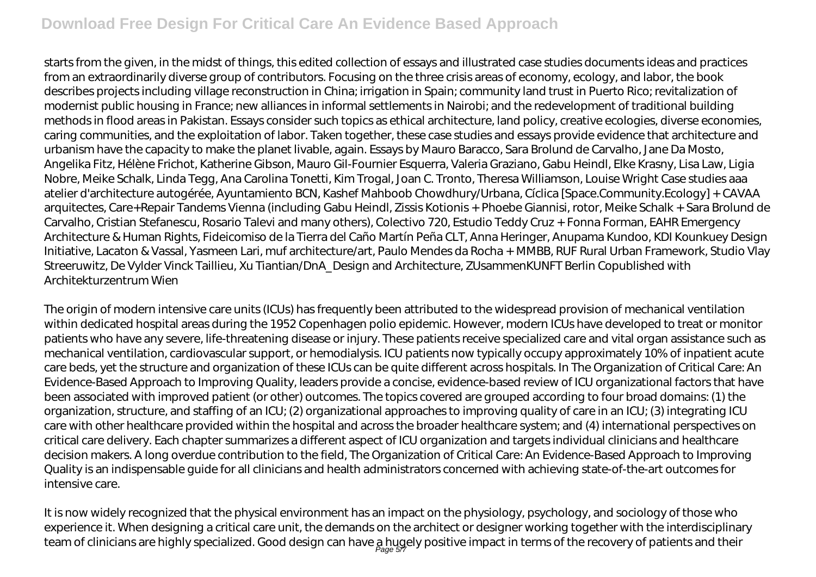## **Download Free Design For Critical Care An Evidence Based Approach**

starts from the given, in the midst of things, this edited collection of essays and illustrated case studies documents ideas and practices from an extraordinarily diverse group of contributors. Focusing on the three crisis areas of economy, ecology, and labor, the book describes projects including village reconstruction in China; irrigation in Spain; community land trust in Puerto Rico; revitalization of modernist public housing in France; new alliances in informal settlements in Nairobi; and the redevelopment of traditional building methods in flood areas in Pakistan. Essays consider such topics as ethical architecture, land policy, creative ecologies, diverse economies, caring communities, and the exploitation of labor. Taken together, these case studies and essays provide evidence that architecture and urbanism have the capacity to make the planet livable, again. Essays by Mauro Baracco, Sara Brolund de Carvalho, Jane Da Mosto, Angelika Fitz, Hélène Frichot, Katherine Gibson, Mauro Gil-Fournier Esquerra, Valeria Graziano, Gabu Heindl, Elke Krasny, Lisa Law, Ligia Nobre, Meike Schalk, Linda Tegg, Ana Carolina Tonetti, Kim Trogal, Joan C. Tronto, Theresa Williamson, Louise Wright Case studies aaa atelier d'architecture autogérée, Ayuntamiento BCN, Kashef Mahboob Chowdhury/Urbana, Cíclica [Space.Community.Ecology] + CAVAA arquitectes, Care+Repair Tandems Vienna (including Gabu Heindl, Zissis Kotionis + Phoebe Giannisi, rotor, Meike Schalk + Sara Brolund de Carvalho, Cristian Stefanescu, Rosario Talevi and many others), Colectivo 720, Estudio Teddy Cruz + Fonna Forman, EAHR Emergency Architecture & Human Rights, Fideicomiso de la Tierra del Caño Martín Peña CLT, Anna Heringer, Anupama Kundoo, KDI Kounkuey Design Initiative, Lacaton & Vassal, Yasmeen Lari, muf architecture/art, Paulo Mendes da Rocha + MMBB, RUF Rural Urban Framework, Studio Vlay Streeruwitz, De Vylder Vinck Taillieu, Xu Tiantian/DnA\_Design and Architecture, ZUsammenKUNFT Berlin Copublished with Architekturzentrum Wien

The origin of modern intensive care units (ICUs) has frequently been attributed to the widespread provision of mechanical ventilation within dedicated hospital areas during the 1952 Copenhagen polio epidemic. However, modern ICUs have developed to treat or monitor patients who have any severe, life-threatening disease or injury. These patients receive specialized care and vital organ assistance such as mechanical ventilation, cardiovascular support, or hemodialysis. ICU patients now typically occupy approximately 10% of inpatient acute care beds, yet the structure and organization of these ICUs can be quite different across hospitals. In The Organization of Critical Care: An Evidence-Based Approach to Improving Quality, leaders provide a concise, evidence-based review of ICU organizational factors that have been associated with improved patient (or other) outcomes. The topics covered are grouped according to four broad domains: (1) the organization, structure, and staffing of an ICU; (2) organizational approaches to improving quality of care in an ICU; (3) integrating ICU care with other healthcare provided within the hospital and across the broader healthcare system; and (4) international perspectives on critical care delivery. Each chapter summarizes a different aspect of ICU organization and targets individual clinicians and healthcare decision makers. A long overdue contribution to the field, The Organization of Critical Care: An Evidence-Based Approach to Improving Quality is an indispensable guide for all clinicians and health administrators concerned with achieving state-of-the-art outcomes for intensive care.

It is now widely recognized that the physical environment has an impact on the physiology, psychology, and sociology of those who experience it. When designing a critical care unit, the demands on the architect or designer working together with the interdisciplinary team of clinicians are highly specialized. Good design can have a hugely positive impact in terms of the recovery of patients and their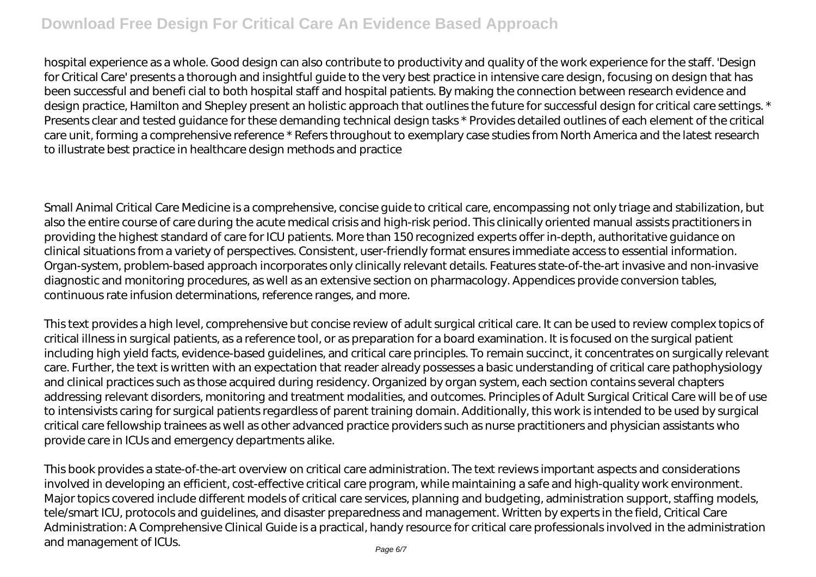## **Download Free Design For Critical Care An Evidence Based Approach**

hospital experience as a whole. Good design can also contribute to productivity and quality of the work experience for the staff. 'Design for Critical Care' presents a thorough and insightful guide to the very best practice in intensive care design, focusing on design that has been successful and benefi cial to both hospital staff and hospital patients. By making the connection between research evidence and design practice, Hamilton and Shepley present an holistic approach that outlines the future for successful design for critical care settings. \* Presents clear and tested guidance for these demanding technical design tasks \* Provides detailed outlines of each element of the critical care unit, forming a comprehensive reference \* Refers throughout to exemplary case studies from North America and the latest research to illustrate best practice in healthcare design methods and practice

Small Animal Critical Care Medicine is a comprehensive, concise guide to critical care, encompassing not only triage and stabilization, but also the entire course of care during the acute medical crisis and high-risk period. This clinically oriented manual assists practitioners in providing the highest standard of care for ICU patients. More than 150 recognized experts offer in-depth, authoritative guidance on clinical situations from a variety of perspectives. Consistent, user-friendly format ensures immediate access to essential information. Organ-system, problem-based approach incorporates only clinically relevant details. Features state-of-the-art invasive and non-invasive diagnostic and monitoring procedures, as well as an extensive section on pharmacology. Appendices provide conversion tables, continuous rate infusion determinations, reference ranges, and more.

This text provides a high level, comprehensive but concise review of adult surgical critical care. It can be used to review complex topics of critical illness in surgical patients, as a reference tool, or as preparation for a board examination. It is focused on the surgical patient including high yield facts, evidence-based guidelines, and critical care principles. To remain succinct, it concentrates on surgically relevant care. Further, the text is written with an expectation that reader already possesses a basic understanding of critical care pathophysiology and clinical practices such as those acquired during residency. Organized by organ system, each section contains several chapters addressing relevant disorders, monitoring and treatment modalities, and outcomes. Principles of Adult Surgical Critical Care will be of use to intensivists caring for surgical patients regardless of parent training domain. Additionally, this work is intended to be used by surgical critical care fellowship trainees as well as other advanced practice providers such as nurse practitioners and physician assistants who provide care in ICUs and emergency departments alike.

This book provides a state-of-the-art overview on critical care administration. The text reviews important aspects and considerations involved in developing an efficient, cost-effective critical care program, while maintaining a safe and high-quality work environment. Major topics covered include different models of critical care services, planning and budgeting, administration support, staffing models, tele/smart ICU, protocols and guidelines, and disaster preparedness and management. Written by experts in the field, Critical Care Administration: A Comprehensive Clinical Guide is a practical, handy resource for critical care professionals involved in the administration and management of ICUs.